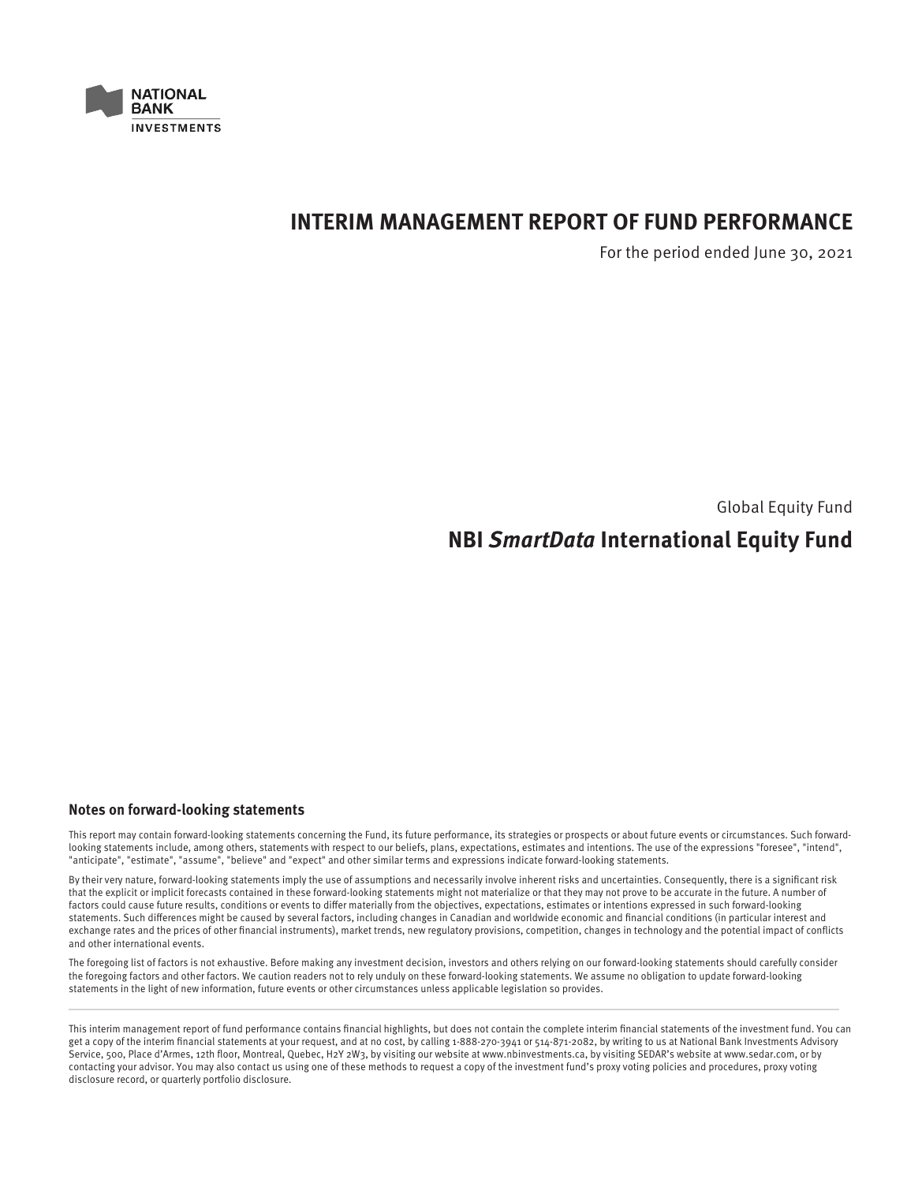

# **INTERIM MANAGEMENT REPORT OF FUND PERFORMANCE**

For the period ended June 30, 2021

Global Equity Fund

# **NBI SmartData International Equity Fund**

## **Notes on forward-looking statements**

This report may contain forward-looking statements concerning the Fund, its future performance, its strategies or prospects or about future events or circumstances. Such forwardlooking statements include, among others, statements with respect to our beliefs, plans, expectations, estimates and intentions. The use of the expressions "foresee", "intend", "anticipate", "estimate", "assume", "believe" and "expect" and other similar terms and expressions indicate forward-looking statements.

By their very nature, forward-looking statements imply the use of assumptions and necessarily involve inherent risks and uncertainties. Consequently, there is a significant risk that the explicit or implicit forecasts contained in these forward-looking statements might not materialize or that they may not prove to be accurate in the future. A number of factors could cause future results, conditions or events to differ materially from the objectives, expectations, estimates or intentions expressed in such forward-looking statements. Such differences might be caused by several factors, including changes in Canadian and worldwide economic and financial conditions (in particular interest and exchange rates and the prices of other financial instruments), market trends, new regulatory provisions, competition, changes in technology and the potential impact of conflicts and other international events.

The foregoing list of factors is not exhaustive. Before making any investment decision, investors and others relying on our forward-looking statements should carefully consider the foregoing factors and other factors. We caution readers not to rely unduly on these forward-looking statements. We assume no obligation to update forward-looking statements in the light of new information, future events or other circumstances unless applicable legislation so provides.

This interim management report of fund performance contains financial highlights, but does not contain the complete interim financial statements of the investment fund. You can get a copy of the interim financial statements at your request, and at no cost, by calling 1-888-270-3941 or 514-871-2082, by writing to us at National Bank Investments Advisory Service, 500, Place d'Armes, 12th floor, Montreal, Quebec, H2Y 2W3, by visiting our website at www.nbinvestments.ca, by visiting SEDAR's website at www.sedar.com, or by contacting your advisor. You may also contact us using one of these methods to request a copy of the investment fund's proxy voting policies and procedures, proxy voting disclosure record, or quarterly portfolio disclosure.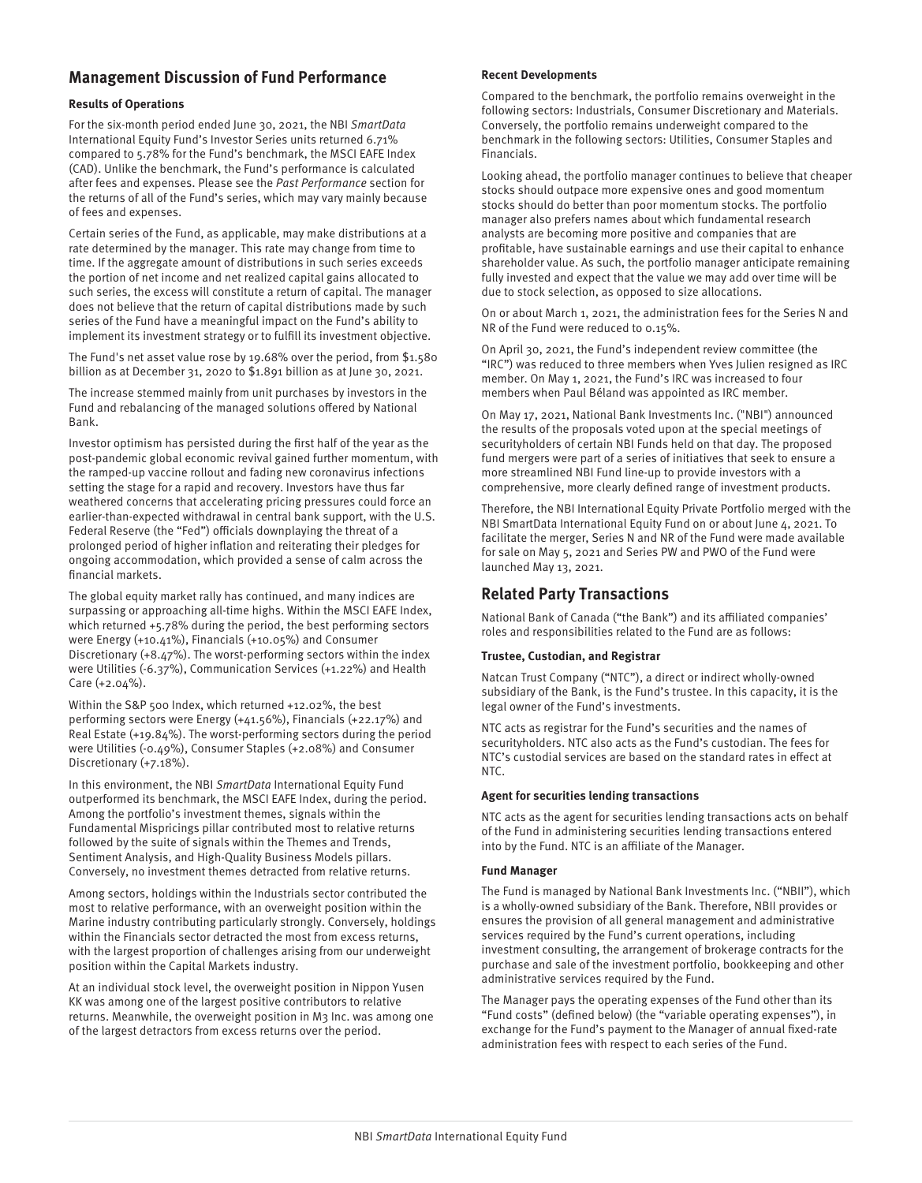# **Management Discussion of Fund Performance**

#### **Results of Operations**

For the six-month period ended June 30, 2021, the NBI SmartData International Equity Fund's Investor Series units returned 6.71% compared to 5.78% for the Fund's benchmark, the MSCI EAFE Index (CAD). Unlike the benchmark, the Fund's performance is calculated after fees and expenses. Please see the Past Performance section for the returns of all of the Fund's series, which may vary mainly because of fees and expenses.

Certain series of the Fund, as applicable, may make distributions at a rate determined by the manager. This rate may change from time to time. If the aggregate amount of distributions in such series exceeds the portion of net income and net realized capital gains allocated to such series, the excess will constitute a return of capital. The manager does not believe that the return of capital distributions made by such series of the Fund have a meaningful impact on the Fund's ability to implement its investment strategy or to fulfill its investment objective.

The Fund's net asset value rose by 19.68% over the period, from \$1.580 billion as at December 31, 2020 to \$1.891 billion as at June 30, 2021.

The increase stemmed mainly from unit purchases by investors in the Fund and rebalancing of the managed solutions offered by National Bank.

Investor optimism has persisted during the first half of the year as the post-pandemic global economic revival gained further momentum, with the ramped-up vaccine rollout and fading new coronavirus infections setting the stage for a rapid and recovery. Investors have thus far weathered concerns that accelerating pricing pressures could force an earlier-than-expected withdrawal in central bank support, with the U.S. Federal Reserve (the "Fed") officials downplaying the threat of a prolonged period of higher inflation and reiterating their pledges for ongoing accommodation, which provided a sense of calm across the financial markets.

The global equity market rally has continued, and many indices are surpassing or approaching all-time highs. Within the MSCI EAFE Index, which returned +5.78% during the period, the best performing sectors were Energy (+10.41%), Financials (+10.05%) and Consumer Discretionary (+8.47%). The worst-performing sectors within the index were Utilities (-6.37%), Communication Services (+1.22%) and Health Care (+2.04%).

Within the S&P 500 Index, which returned +12.02%, the best performing sectors were Energy (+41.56%), Financials (+22.17%) and Real Estate (+19.84%). The worst-performing sectors during the period were Utilities (-0.49%), Consumer Staples (+2.08%) and Consumer Discretionary (+7.18%).

In this environment, the NBI SmartData International Equity Fund outperformed its benchmark, the MSCI EAFE Index, during the period. Among the portfolio's investment themes, signals within the Fundamental Mispricings pillar contributed most to relative returns followed by the suite of signals within the Themes and Trends, Sentiment Analysis, and High-Quality Business Models pillars. Conversely, no investment themes detracted from relative returns.

Among sectors, holdings within the Industrials sector contributed the most to relative performance, with an overweight position within the Marine industry contributing particularly strongly. Conversely, holdings within the Financials sector detracted the most from excess returns, with the largest proportion of challenges arising from our underweight position within the Capital Markets industry.

At an individual stock level, the overweight position in Nippon Yusen KK was among one of the largest positive contributors to relative returns. Meanwhile, the overweight position in M3 Inc. was among one of the largest detractors from excess returns over the period.

#### **Recent Developments**

Compared to the benchmark, the portfolio remains overweight in the following sectors: Industrials, Consumer Discretionary and Materials. Conversely, the portfolio remains underweight compared to the benchmark in the following sectors: Utilities, Consumer Staples and Financials.

Looking ahead, the portfolio manager continues to believe that cheaper stocks should outpace more expensive ones and good momentum stocks should do better than poor momentum stocks. The portfolio manager also prefers names about which fundamental research analysts are becoming more positive and companies that are profitable, have sustainable earnings and use their capital to enhance shareholder value. As such, the portfolio manager anticipate remaining fully invested and expect that the value we may add over time will be due to stock selection, as opposed to size allocations.

On or about March 1, 2021, the administration fees for the Series N and NR of the Fund were reduced to 0.15%.

On April 30, 2021, the Fund's independent review committee (the "IRC") was reduced to three members when Yves Julien resigned as IRC member. On May 1, 2021, the Fund's IRC was increased to four members when Paul Béland was appointed as IRC member.

On May 17, 2021, National Bank Investments Inc. ("NBI") announced the results of the proposals voted upon at the special meetings of securityholders of certain NBI Funds held on that day. The proposed fund mergers were part of a series of initiatives that seek to ensure a more streamlined NBI Fund line-up to provide investors with a comprehensive, more clearly defined range of investment products.

Therefore, the NBI International Equity Private Portfolio merged with the NBI SmartData International Equity Fund on or about June 4, 2021. To facilitate the merger, Series N and NR of the Fund were made available for sale on May 5, 2021 and Series PW and PWO of the Fund were launched May 13, 2021.

# **Related Party Transactions**

National Bank of Canada ("the Bank") and its affiliated companies' roles and responsibilities related to the Fund are as follows:

## **Trustee, Custodian, and Registrar**

Natcan Trust Company ("NTC"), a direct or indirect wholly-owned subsidiary of the Bank, is the Fund's trustee. In this capacity, it is the legal owner of the Fund's investments.

NTC acts as registrar for the Fund's securities and the names of securityholders. NTC also acts as the Fund's custodian. The fees for NTC's custodial services are based on the standard rates in effect at NTC.

#### **Agent for securities lending transactions**

NTC acts as the agent for securities lending transactions acts on behalf of the Fund in administering securities lending transactions entered into by the Fund. NTC is an affiliate of the Manager.

#### **Fund Manager**

The Fund is managed by National Bank Investments Inc. ("NBII"), which is a wholly-owned subsidiary of the Bank. Therefore, NBII provides or ensures the provision of all general management and administrative services required by the Fund's current operations, including investment consulting, the arrangement of brokerage contracts for the purchase and sale of the investment portfolio, bookkeeping and other administrative services required by the Fund.

The Manager pays the operating expenses of the Fund other than its "Fund costs" (defined below) (the "variable operating expenses"), in exchange for the Fund's payment to the Manager of annual fixed-rate administration fees with respect to each series of the Fund.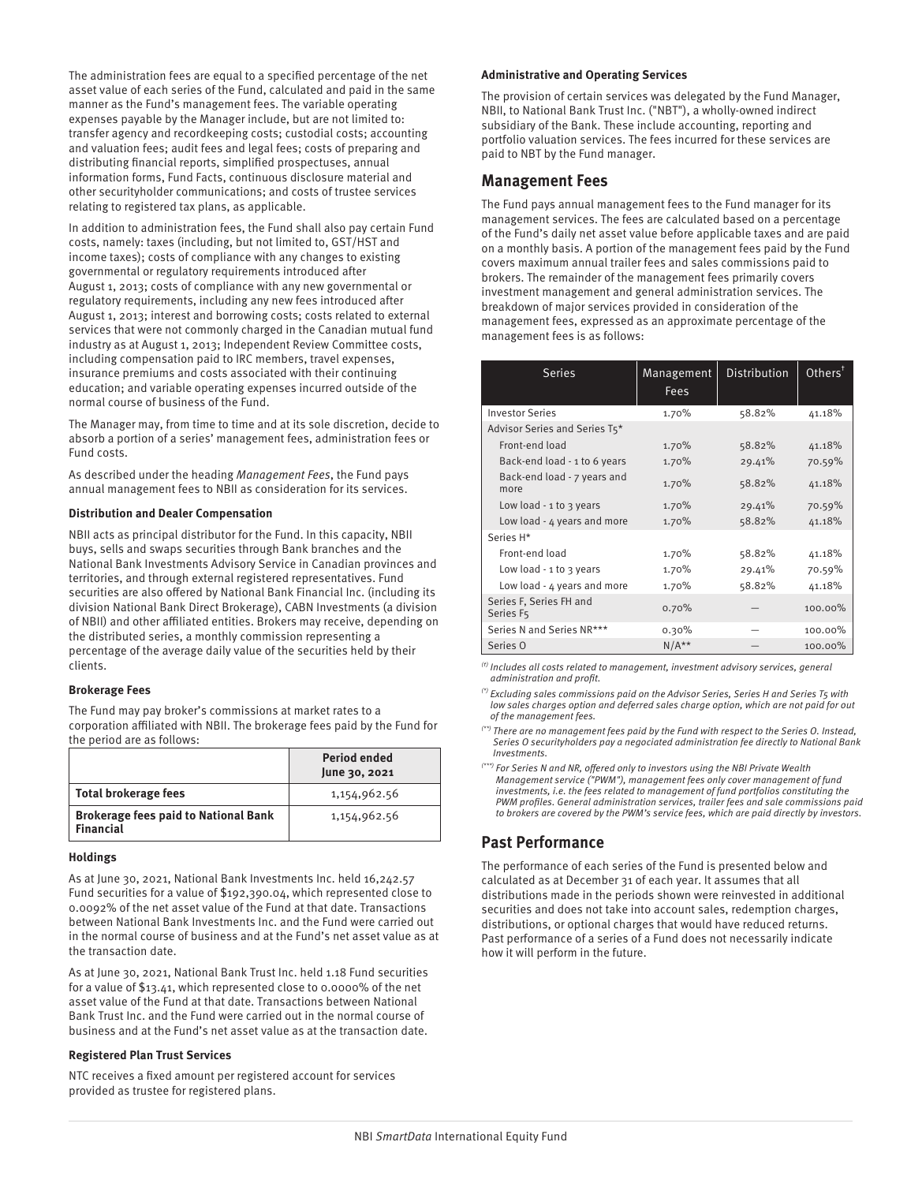The administration fees are equal to a specified percentage of the net asset value of each series of the Fund, calculated and paid in the same manner as the Fund's management fees. The variable operating expenses payable by the Manager include, but are not limited to: transfer agency and recordkeeping costs; custodial costs; accounting and valuation fees; audit fees and legal fees; costs of preparing and distributing financial reports, simplified prospectuses, annual information forms, Fund Facts, continuous disclosure material and other securityholder communications; and costs of trustee services relating to registered tax plans, as applicable.

In addition to administration fees, the Fund shall also pay certain Fund costs, namely: taxes (including, but not limited to, GST/HST and income taxes); costs of compliance with any changes to existing governmental or regulatory requirements introduced after August 1, 2013; costs of compliance with any new governmental or regulatory requirements, including any new fees introduced after August 1, 2013; interest and borrowing costs; costs related to external services that were not commonly charged in the Canadian mutual fund industry as at August 1, 2013; Independent Review Committee costs, including compensation paid to IRC members, travel expenses, insurance premiums and costs associated with their continuing education; and variable operating expenses incurred outside of the normal course of business of the Fund.

The Manager may, from time to time and at its sole discretion, decide to absorb a portion of a series' management fees, administration fees or Fund costs.

As described under the heading Management Fees, the Fund pays annual management fees to NBII as consideration for its services.

#### **Distribution and Dealer Compensation**

NBII acts as principal distributor for the Fund. In this capacity, NBII buys, sells and swaps securities through Bank branches and the National Bank Investments Advisory Service in Canadian provinces and territories, and through external registered representatives. Fund securities are also offered by National Bank Financial Inc. (including its division National Bank Direct Brokerage), CABN Investments (a division of NBII) and other affiliated entities. Brokers may receive, depending on the distributed series, a monthly commission representing a percentage of the average daily value of the securities held by their clients.

#### **Brokerage Fees**

The Fund may pay broker's commissions at market rates to a corporation affiliated with NBII. The brokerage fees paid by the Fund for the period are as follows:

|                                                                 | <b>Period ended</b><br>June 30, 2021 |
|-----------------------------------------------------------------|--------------------------------------|
| <b>Total brokerage fees</b>                                     | 1,154,962.56                         |
| <b>Brokerage fees paid to National Bank</b><br><b>Financial</b> | 1,154,962.56                         |

#### **Holdings**

As at June 30, 2021, National Bank Investments Inc. held 16,242.57 Fund securities for a value of \$192,390.04, which represented close to 0.0092% of the net asset value of the Fund at that date. Transactions between National Bank Investments Inc. and the Fund were carried out in the normal course of business and at the Fund's net asset value as at the transaction date.

As at June 30, 2021, National Bank Trust Inc. held 1.18 Fund securities for a value of \$13.41, which represented close to 0.0000% of the net asset value of the Fund at that date. Transactions between National Bank Trust Inc. and the Fund were carried out in the normal course of business and at the Fund's net asset value as at the transaction date.

#### **Registered Plan Trust Services**

NTC receives a fixed amount per registered account for services provided as trustee for registered plans.

#### **Administrative and Operating Services**

The provision of certain services was delegated by the Fund Manager, NBII, to National Bank Trust Inc. ("NBT"), a wholly-owned indirect subsidiary of the Bank. These include accounting, reporting and portfolio valuation services. The fees incurred for these services are paid to NBT by the Fund manager.

## **Management Fees**

The Fund pays annual management fees to the Fund manager for its management services. The fees are calculated based on a percentage of the Fund's daily net asset value before applicable taxes and are paid on a monthly basis. A portion of the management fees paid by the Fund covers maximum annual trailer fees and sales commissions paid to brokers. The remainder of the management fees primarily covers investment management and general administration services. The breakdown of major services provided in consideration of the management fees, expressed as an approximate percentage of the management fees is as follows:

| <b>Series</b>                        | Management<br><b>Fees</b> | Distribution | Other <sup>†</sup> |
|--------------------------------------|---------------------------|--------------|--------------------|
| <b>Investor Series</b>               | 1.70%                     | 58.82%       | 41.18%             |
| Advisor Series and Series T5*        |                           |              |                    |
| Front-end load                       | 1.70%                     | 58.82%       | 41.18%             |
| Back-end load - 1 to 6 years         | 1.70%                     | 29.41%       | 70.59%             |
| Back-end load - 7 years and<br>more  | 1.70%                     | 58.82%       | 41.18%             |
| Low load - $1$ to $3$ years          | 1.70%                     | 29.41%       | 70.59%             |
| Low load - 4 years and more          | 1.70%                     | 58.82%       | 41.18%             |
| Series H*                            |                           |              |                    |
| Front-end load                       | 1.70%                     | 58.82%       | 41.18%             |
| Low load $-1$ to 3 years             | 1.70%                     | 29.41%       | 70.59%             |
| Low load - 4 years and more          | 1.70%                     | 58.82%       | 41.18%             |
| Series F, Series FH and<br>Series F5 | 0.70%                     |              | 100.00%            |
| Series N and Series NR***            | 0.30%                     |              | 100.00%            |
| Series O                             | $N/A**$                   |              | 100.00%            |

 $<sup>(t)</sup>$  Includes all costs related to management, investment advisory services, general</sup> administration and profit.

 $^{(*)}$  Excluding sales commissions paid on the Advisor Series, Series H and Series T5 with low sales charges option and deferred sales charge option, which are not paid for out of the management fees.

(\*\*) There are no management fees paid by the Fund with respect to the Series O. Instead, Series O securityholders pay a negociated administration fee directly to National Bank Investments.

\*) For Series N and NR, offered only to investors using the NBI Private Wealth Management service ("PWM"), management fees only cover management of fund investments, i.e. the fees related to management of fund portfolios constituting the PWM profiles. General administration services, trailer fees and sale commissions paid to brokers are covered by the PWM's service fees, which are paid directly by investors.

# **Past Performance**

The performance of each series of the Fund is presented below and calculated as at December 31 of each year. It assumes that all distributions made in the periods shown were reinvested in additional securities and does not take into account sales, redemption charges, distributions, or optional charges that would have reduced returns. Past performance of a series of a Fund does not necessarily indicate how it will perform in the future.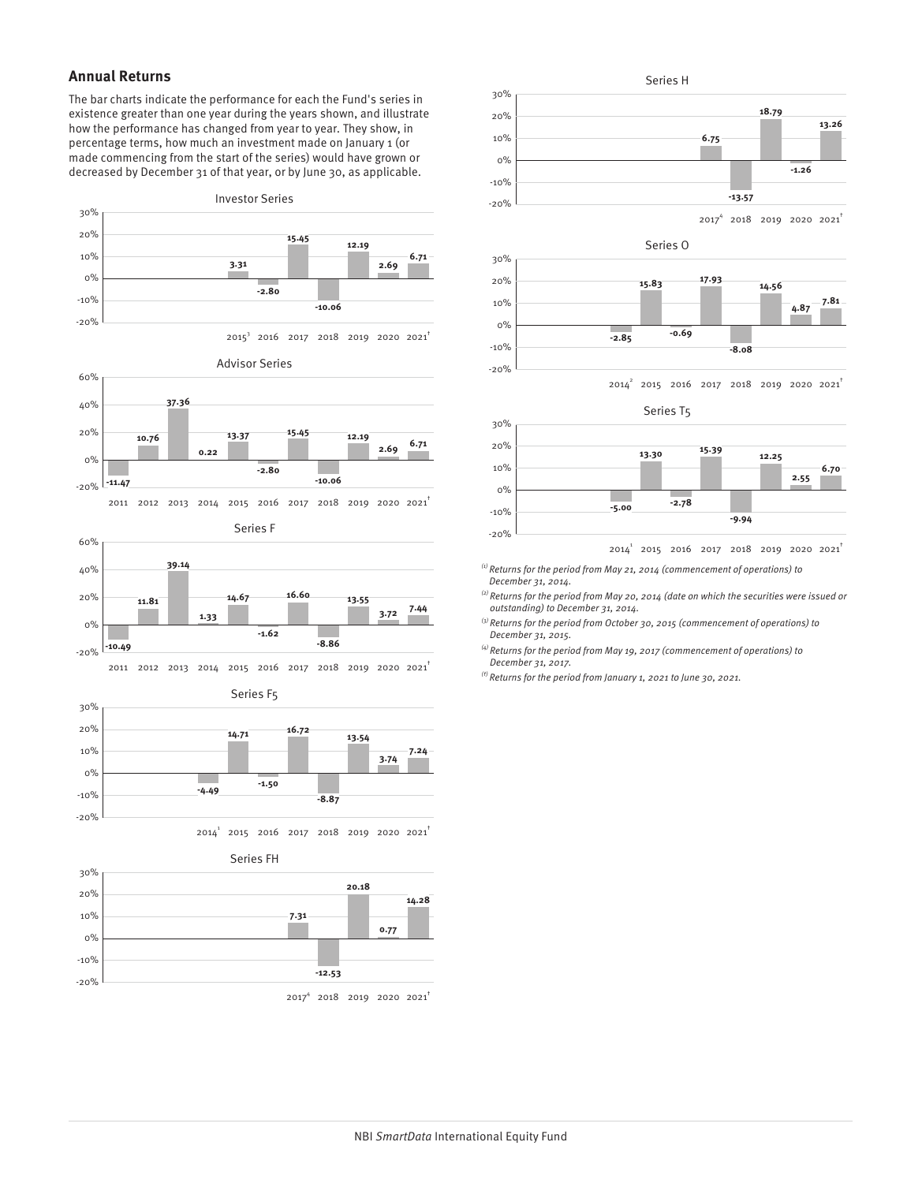# **Annual Returns**

-20%

The bar charts indicate the performance for each the Fund's series in existence greater than one year during the years shown, and illustrate how the performance has changed from year to year. They show, in percentage terms, how much an investment made on January 1 (or made commencing from the start of the series) would have grown or decreased by December 31 of that year, or by June 30, as applicable.





Series O



 $2014^2$  2015 2016 2017 2018 2019 2020 2021<sup>†</sup>

Series T5



 $2014^1$  2015 2016 2017 2018 2019 2020 2021<sup>†</sup>

 $(1)$  Returns for the period from May 21, 2014 (commencement of operations) to December 31, 2014.

 $^{(2)}$  Returns for the period from May 20, 2014 (date on which the securities were issued or outstanding) to December 31, 2014.

 $^{(3)}$  Returns for the period from October 30, 2015 (commencement of operations) to December 31, 2015.

 $^{(4)}$  Returns for the period from May 19, 2017 (commencement of operations) to December 31, 2017.

 $<sup>(t)</sup>$  Returns for the period from January 1, 2021 to June 30, 2021.</sup>

2017<sup>4</sup> 2018 2019 2020 2021<sup>†</sup>

**-12.53**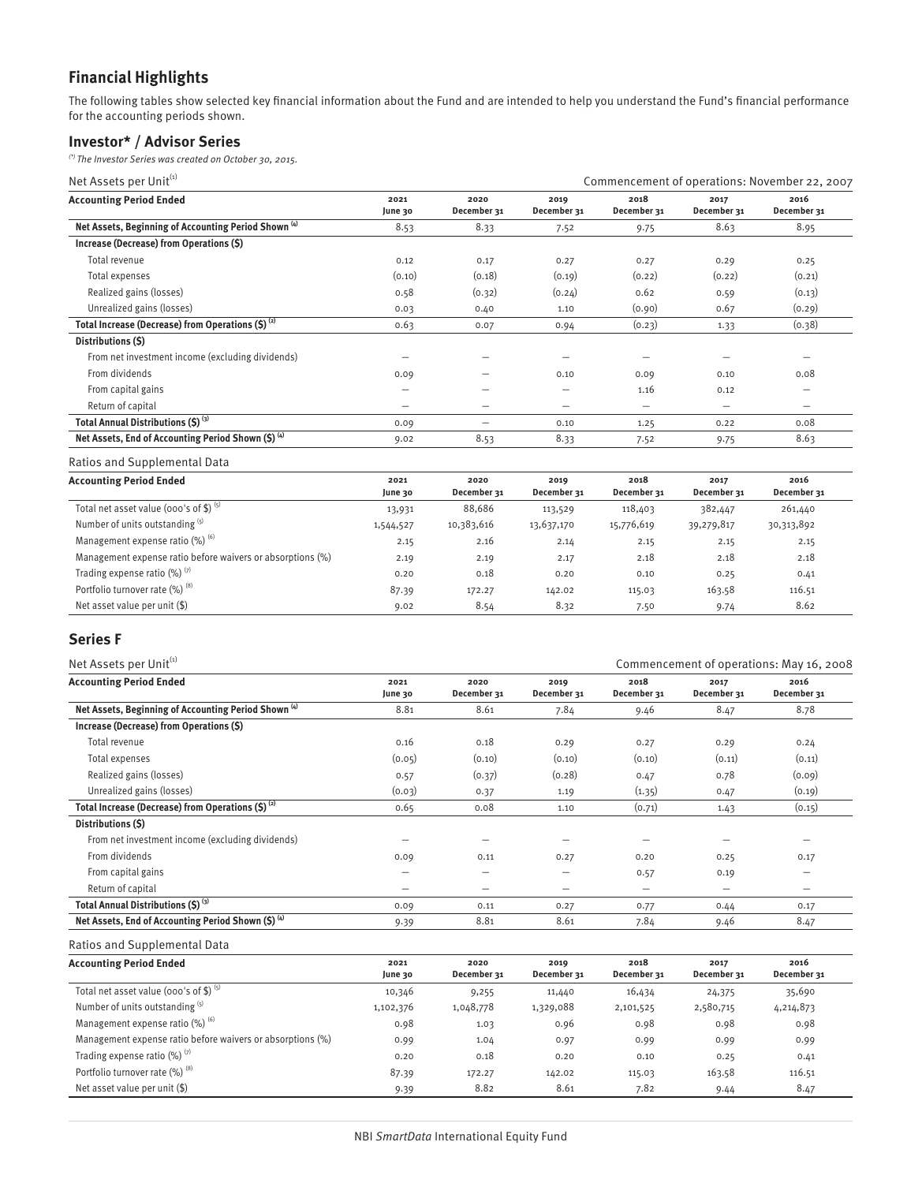# **Financial Highlights**

The following tables show selected key financial information about the Fund and are intended to help you understand the Fund's financial performance for the accounting periods shown.

# **Investor\* / Advisor Series**

 $(*)$  The Investor Series was created on October 30, 2015.

| Net Assets per Unit <sup>(1)</sup>                              |                 | Commencement of operations: November 22, 2007 |                          |                          |                     |                     |
|-----------------------------------------------------------------|-----------------|-----------------------------------------------|--------------------------|--------------------------|---------------------|---------------------|
| <b>Accounting Period Ended</b>                                  | 2021<br>June 30 | 2020<br>December 31                           | 2019<br>December 31      | 2018<br>December 31      | 2017<br>December 31 | 2016<br>December 31 |
| Net Assets, Beginning of Accounting Period Shown <sup>(4)</sup> | 8.53            | 8.33                                          | 7.52                     | 9.75                     | 8.63                | 8.95                |
| Increase (Decrease) from Operations (\$)                        |                 |                                               |                          |                          |                     |                     |
| Total revenue                                                   | 0.12            | 0.17                                          | 0.27                     | 0.27                     | 0.29                | 0.25                |
| Total expenses                                                  | (0.10)          | (0.18)                                        | (0.19)                   | (0.22)                   | (0.22)              | (0.21)              |
| Realized gains (losses)                                         | 0.58            | (0.32)                                        | (0.24)                   | 0.62                     | 0.59                | (0.13)              |
| Unrealized gains (losses)                                       | 0.03            | 0.40                                          | 1.10                     | (0.90)                   | 0.67                | (0.29)              |
| Total Increase (Decrease) from Operations $(S)$ <sup>(2)</sup>  | 0.63            | 0.07                                          | 0.94                     | (0.23)                   | 1.33                | (0.38)              |
| Distributions (\$)                                              |                 |                                               |                          |                          |                     |                     |
| From net investment income (excluding dividends)                |                 |                                               |                          |                          |                     |                     |
| From dividends                                                  | 0.09            |                                               | 0.10                     | 0.09                     | 0.10                | 0.08                |
| From capital gains                                              |                 |                                               | -                        | 1.16                     | 0.12                |                     |
| Return of capital                                               | -               |                                               | $\overline{\phantom{m}}$ | $\overline{\phantom{0}}$ | -                   |                     |
| Total Annual Distributions (\$) (3)                             | 0.09            | -                                             | 0.10                     | 1.25                     | 0.22                | 0.08                |
| Net Assets, End of Accounting Period Shown (\$) (4)             | 9.02            | 8.53                                          | 8.33                     | 7.52                     | 9.75                | 8.63                |

Ratios and Supplemental Data

| <b>Accounting Period Ended</b>                             | 2021<br>June 30 | 2020<br>December 31 | 2019<br>December 31 | 2018<br>December 31 | 2017<br>December 31 | 2016<br>December 31 |
|------------------------------------------------------------|-----------------|---------------------|---------------------|---------------------|---------------------|---------------------|
| Total net asset value (000's of \$) $(5)$                  | 13,931          | 88,686              | 113,529             | 118,403             | 382,447             | 261,440             |
| Number of units outstanding (5)                            | 1,544,527       | 10,383,616          | 13,637,170          | 15,776,619          | 39,279,817          | 30,313,892          |
| Management expense ratio (%) (6)                           | 2.15            | 2.16                | 2.14                | 2.15                | 2.15                | 2.15                |
| Management expense ratio before waivers or absorptions (%) | 2.19            | 2.19                | 2.17                | 2.18                | 2.18                | 2.18                |
| Trading expense ratio $(\%)$ <sup>(7)</sup>                | 0.20            | 0.18                | 0.20                | 0.10                | 0.25                | 0.41                |
| Portfolio turnover rate (%) (8)                            | 87.39           | 172.27              | 142.02              | 115.03              | 163.58              | 116.51              |
| Net asset value per unit $(\$)$                            | 9.02            | 8.54                | 8.32                | 7.50                | 9.74                | 8.62                |

# **Series F**

| Net Assets per Unit <sup>(1)</sup>                              |                 |                     |                          | Commencement of operations: May 16, 2008 |                          |                     |  |
|-----------------------------------------------------------------|-----------------|---------------------|--------------------------|------------------------------------------|--------------------------|---------------------|--|
| <b>Accounting Period Ended</b>                                  | 2021<br>June 30 | 2020<br>December 31 | 2019<br>December 31      | 2018<br>December 31                      | 2017<br>December 31      | 2016<br>December 31 |  |
| Net Assets, Beginning of Accounting Period Shown <sup>(4)</sup> | 8.81            | 8.61                | 7.84                     | 9.46                                     | 8.47                     | 8.78                |  |
| Increase (Decrease) from Operations (\$)                        |                 |                     |                          |                                          |                          |                     |  |
| Total revenue                                                   | 0.16            | 0.18                | 0.29                     | 0.27                                     | 0.29                     | 0.24                |  |
| Total expenses                                                  | (0.05)          | (0.10)              | (0.10)                   | (0.10)                                   | (0.11)                   | (0.11)              |  |
| Realized gains (losses)                                         | 0.57            | (0.37)              | (0.28)                   | 0.47                                     | 0.78                     | (0.09)              |  |
| Unrealized gains (losses)                                       | (0.03)          | 0.37                | 1.19                     | (1.35)                                   | 0.47                     | (0.19)              |  |
| Total Increase (Decrease) from Operations $(5)^{(2)}$           | 0.65            | 0.08                | 1.10                     | (0.71)                                   | 1.43                     | (0.15)              |  |
| Distributions (\$)                                              |                 |                     |                          |                                          |                          |                     |  |
| From net investment income (excluding dividends)                |                 |                     |                          |                                          |                          |                     |  |
| From dividends                                                  | 0.09            | 0.11                | 0.27                     | 0.20                                     | 0.25                     | 0.17                |  |
| From capital gains                                              | -               |                     | $\overline{\phantom{m}}$ | 0.57                                     | 0.19                     | —                   |  |
| Return of capital                                               | -               | -                   | $\overline{\phantom{m}}$ | $\overline{\phantom{m}}$                 | $\overline{\phantom{m}}$ | –                   |  |
| Total Annual Distributions (\$) (3)                             | 0.09            | 0.11                | 0.27                     | 0.77                                     | 0.44                     | 0.17                |  |
| Net Assets, End of Accounting Period Shown (\$) (4)             | 9.39            | 8.81                | 8.61                     | 7.84                                     | 9.46                     | 8.47                |  |

| <b>Accounting Period Ended</b>                             | 2021      | 2020        | 2019        | 2018        | 2017        | 2016        |
|------------------------------------------------------------|-----------|-------------|-------------|-------------|-------------|-------------|
|                                                            | June 30   | December 31 | December 31 | December 31 | December 31 | December 31 |
| Total net asset value (000's of \$) $(5)$                  | 10,346    | 9,255       | 11,440      | 16,434      | 24,375      | 35,690      |
| Number of units outstanding (5)                            | 1,102,376 | 1,048,778   | 1,329,088   | 2,101,525   | 2,580,715   | 4,214,873   |
| Management expense ratio (%) (6)                           | 0.98      | 1.03        | 0.96        | 0.98        | 0.98        | 0.98        |
| Management expense ratio before waivers or absorptions (%) | 0.99      | 1.04        | 0.97        | 0.99        | 0.99        | 0.99        |
| Trading expense ratio $(\%)$ <sup>(7)</sup>                | 0.20      | 0.18        | 0.20        | 0.10        | 0.25        | 0.41        |
| Portfolio turnover rate (%) (8)                            | 87.39     | 172.27      | 142.02      | 115.03      | 163.58      | 116.51      |
| Net asset value per unit $(\$)$                            | 9.39      | 8.82        | 8.61        | 7.82        | 9.44        | 8.47        |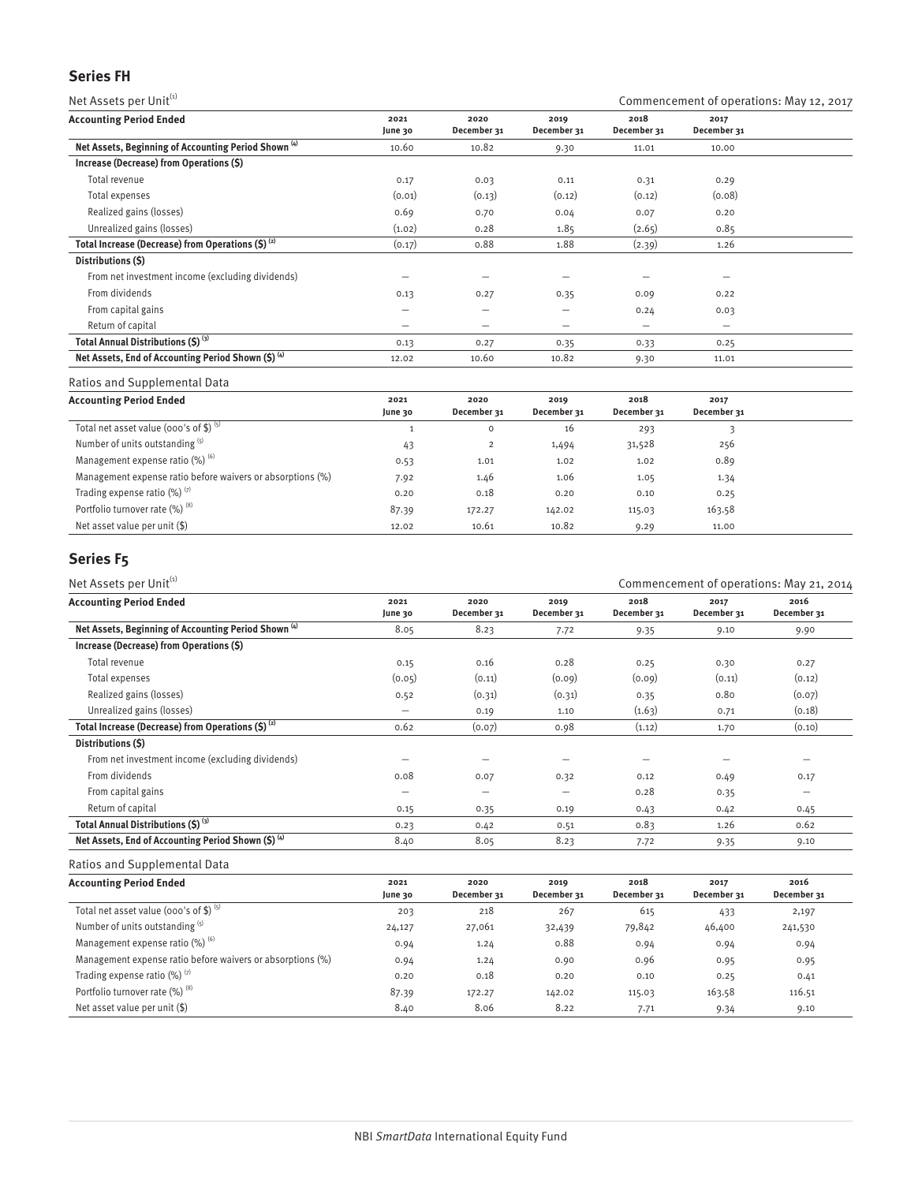# **Series FH**

| Net Assets per Unit <sup>(1)</sup>                              |                 |                          |                     |                          | Commencement of operations: May 12, 2017 |
|-----------------------------------------------------------------|-----------------|--------------------------|---------------------|--------------------------|------------------------------------------|
| <b>Accounting Period Ended</b>                                  | 2021<br>June 30 | 2020<br>December 31      | 2019<br>December 31 | 2018<br>December 31      | 2017<br>December 31                      |
| Net Assets, Beginning of Accounting Period Shown <sup>(4)</sup> | 10.60           | 10.82                    | 9.30                | 11.01                    | 10.00                                    |
| Increase (Decrease) from Operations (\$)                        |                 |                          |                     |                          |                                          |
| Total revenue                                                   | 0.17            | 0.03                     | 0.11                | 0.31                     | 0.29                                     |
| Total expenses                                                  | (0.01)          | (0.13)                   | (0.12)              | (0.12)                   | (0.08)                                   |
| Realized gains (losses)                                         | 0.69            | 0.70                     | 0.04                | 0.07                     | 0.20                                     |
| Unrealized gains (losses)                                       | (1.02)          | 0.28                     | 1.85                | (2.65)                   | 0.85                                     |
| Total Increase (Decrease) from Operations $(5)^{(2)}$           | (0.17)          | 0.88                     | 1.88                | (2.39)                   | 1.26                                     |
| Distributions (S)                                               |                 |                          |                     |                          |                                          |
| From net investment income (excluding dividends)                |                 |                          |                     |                          |                                          |
| From dividends                                                  | 0.13            | 0.27                     | 0.35                | 0.09                     | 0.22                                     |
| From capital gains                                              | -               | $\overline{\phantom{0}}$ | —                   | 0.24                     | 0.03                                     |
| Return of capital                                               | —               |                          | —                   | $\overline{\phantom{0}}$ | $\overline{\phantom{0}}$                 |
| Total Annual Distributions (\$) (3)                             | 0.13            | 0.27                     | 0.35                | 0.33                     | 0.25                                     |
| Net Assets, End of Accounting Period Shown (\$) (4)             | 12.02           | 10.60                    | 10.82               | 9.30                     | 11.01                                    |

#### Ratios and Supplemental Data

| <b>Accounting Period Ended</b>                             | 2021<br>June 30 | 2020<br>December 31 | 2019<br>December 31 | 2018<br>December 31 | 2017<br>December 31 |  |
|------------------------------------------------------------|-----------------|---------------------|---------------------|---------------------|---------------------|--|
| Total net asset value (000's of \$) $(5)$                  |                 | $\circ$             | 16                  | 293                 |                     |  |
| Number of units outstanding (5)                            | 43              | 2                   | 1,494               | 31,528              | 256                 |  |
| Management expense ratio $(\%)$ <sup>(6)</sup>             | 0.53            | 1.01                | 1.02                | 1.02                | 0.89                |  |
| Management expense ratio before waivers or absorptions (%) | 7.92            | 1.46                | 1.06                | 1.05                | 1.34                |  |
| Trading expense ratio $(\%)$ <sup>(7)</sup>                | 0.20            | 0.18                | 0.20                | 0.10                | 0.25                |  |
| Portfolio turnover rate (%) (8)                            | 87.39           | 172.27              | 142.02              | 115.03              | 163.58              |  |
| Net asset value per unit $(\$)$                            | 12.02           | 10.61               | 10.82               | 9.29                | 11.00               |  |

# **Series F5**

| Net Assets per Unit <sup>(1)</sup>                              |                 |                          |                          |                     | Commencement of operations: May 21, 2014 |                     |  |  |
|-----------------------------------------------------------------|-----------------|--------------------------|--------------------------|---------------------|------------------------------------------|---------------------|--|--|
| <b>Accounting Period Ended</b>                                  | 2021<br>June 30 | 2020<br>December 31      | 2019<br>December 31      | 2018<br>December 31 | 2017<br>December 31                      | 2016<br>December 31 |  |  |
| Net Assets, Beginning of Accounting Period Shown <sup>(4)</sup> | 8.05            | 8.23                     | 7.72                     | 9.35                | 9.10                                     | 9.90                |  |  |
| Increase (Decrease) from Operations (\$)                        |                 |                          |                          |                     |                                          |                     |  |  |
| Total revenue                                                   | 0.15            | 0.16                     | 0.28                     | 0.25                | 0.30                                     | 0.27                |  |  |
| Total expenses                                                  | (0.05)          | (0.11)                   | (0.09)                   | (0.09)              | (0.11)                                   | (0.12)              |  |  |
| Realized gains (losses)                                         | 0.52            | (0.31)                   | (0.31)                   | 0.35                | 0.80                                     | (0.07)              |  |  |
| Unrealized gains (losses)                                       | —               | 0.19                     | 1.10                     | (1.63)              | 0.71                                     | (0.18)              |  |  |
| Total Increase (Decrease) from Operations $(5)^{(2)}$           | 0.62            | (0.07)                   | 0.98                     | (1.12)              | 1.70                                     | (0.10)              |  |  |
| Distributions (\$)                                              |                 |                          |                          |                     |                                          |                     |  |  |
| From net investment income (excluding dividends)                |                 |                          |                          |                     |                                          |                     |  |  |
| From dividends                                                  | 0.08            | 0.07                     | 0.32                     | 0.12                | 0.49                                     | 0.17                |  |  |
| From capital gains                                              | –               | $\overline{\phantom{0}}$ | $\overline{\phantom{m}}$ | 0.28                | 0.35                                     | -                   |  |  |
| Return of capital                                               | 0.15            | 0.35                     | 0.19                     | 0.43                | 0.42                                     | 0.45                |  |  |
| Total Annual Distributions (\$) (3)                             | 0.23            | 0.42                     | 0.51                     | 0.83                | 1.26                                     | 0.62                |  |  |
| Net Assets, End of Accounting Period Shown (\$) (4)             | 8.40            | 8.05                     | 8.23                     | 7.72                | 9.35                                     | 9.10                |  |  |
|                                                                 |                 |                          |                          |                     |                                          |                     |  |  |

| <b>Accounting Period Ended</b>                             | 2021<br>June 30 | 2020<br>December 31 | 2019<br>December 31 | 2018<br>December 31 | 2017<br>December 31 | 2016<br>December 31 |
|------------------------------------------------------------|-----------------|---------------------|---------------------|---------------------|---------------------|---------------------|
| Total net asset value (000's of \$) $(5)$                  | 203             | 218                 | 267                 | 615                 | 433                 | 2,197               |
| Number of units outstanding (5)                            | 24,127          | 27,061              | 32,439              | 79,842              | 46,400              | 241,530             |
| Management expense ratio $(\%)$ <sup>(6)</sup>             | 0.94            | 1.24                | 0.88                | 0.94                | 0.94                | 0.94                |
| Management expense ratio before waivers or absorptions (%) | 0.94            | 1.24                | 0.90                | 0.96                | 0.95                | 0.95                |
| Trading expense ratio $(\%)$ <sup>(7)</sup>                | 0.20            | 0.18                | 0.20                | 0.10                | 0.25                | 0.41                |
| Portfolio turnover rate (%) (8)                            | 87.39           | 172.27              | 142.02              | 115.03              | 163.58              | 116.51              |
| Net asset value per unit $(\$)$                            | 8.40            | 8.06                | 8.22                | 7.71                | 9.34                | 9.10                |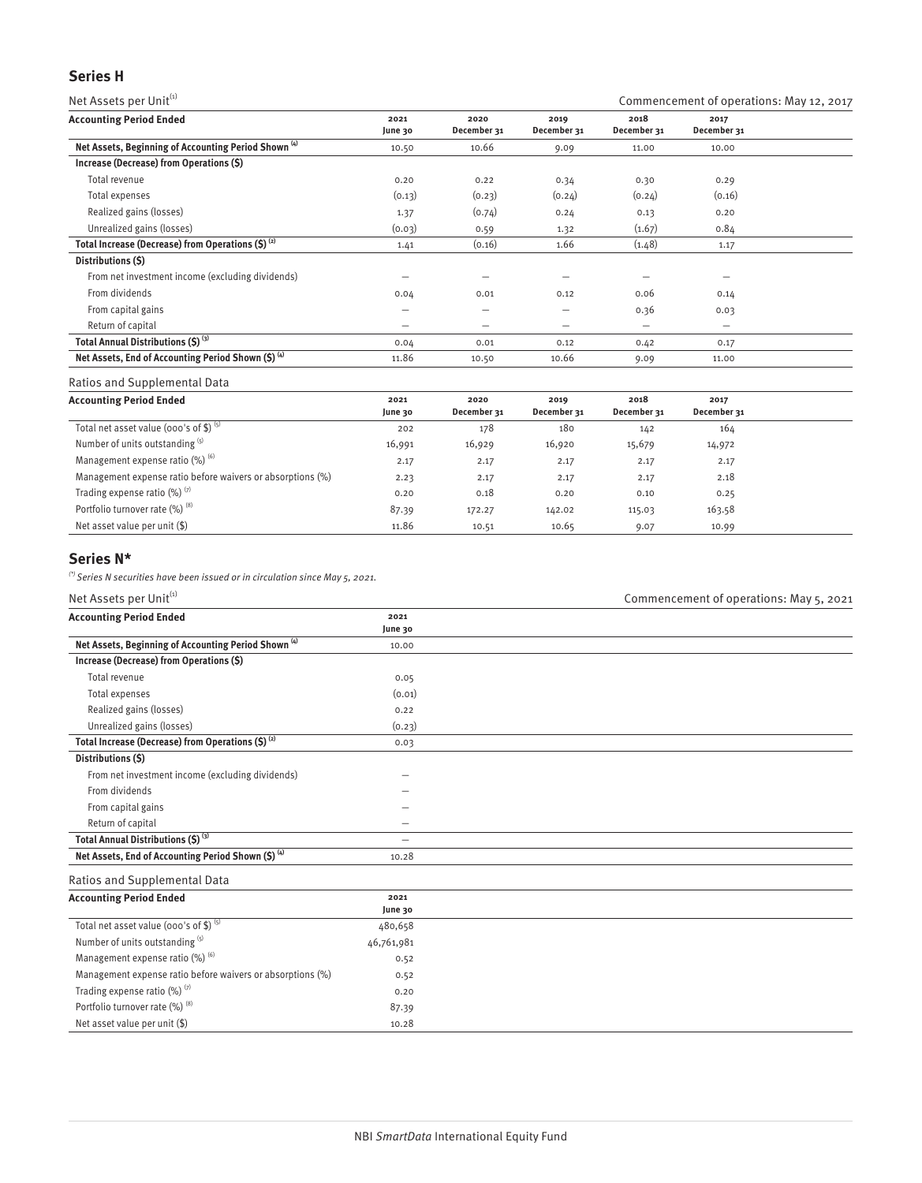# **Series H**

Net Assets per Unit<sup>(1)</sup>  $\blacksquare$  Commencement of operations: May 12, 2017

| <b>Accounting Period Ended</b>                                  | 2021<br>June 30          | 2020<br>December 31 | 2019<br>December 31      | 2018<br>December 31 | 2017<br>December 31      |  |
|-----------------------------------------------------------------|--------------------------|---------------------|--------------------------|---------------------|--------------------------|--|
| Net Assets, Beginning of Accounting Period Shown <sup>(4)</sup> | 10.50                    | 10.66               | 9.09                     | 11.00               | 10.00                    |  |
| Increase (Decrease) from Operations (\$)                        |                          |                     |                          |                     |                          |  |
| Total revenue                                                   | 0.20                     | 0.22                | 0.34                     | 0.30                | 0.29                     |  |
| Total expenses                                                  | (0.13)                   | (0.23)              | (0.24)                   | (0.24)              | (0.16)                   |  |
| Realized gains (losses)                                         | 1.37                     | (0.74)              | 0.24                     | 0.13                | 0.20                     |  |
| Unrealized gains (losses)                                       | (0.03)                   | 0.59                | 1.32                     | (1.67)              | 0.84                     |  |
| Total Increase (Decrease) from Operations $(5)^{(2)}$           | 1.41                     | (0.16)              | 1.66                     | (1.48)              | 1.17                     |  |
| Distributions (\$)                                              |                          |                     |                          |                     |                          |  |
| From net investment income (excluding dividends)                |                          |                     |                          |                     |                          |  |
| From dividends                                                  | 0.04                     | 0.01                | 0.12                     | 0.06                | 0.14                     |  |
| From capital gains                                              | $\overline{\phantom{0}}$ | —                   | $\overline{\phantom{m}}$ | 0.36                | 0.03                     |  |
| Return of capital                                               | $\overline{\phantom{0}}$ | —                   | $\overline{\phantom{0}}$ | -                   | $\overline{\phantom{0}}$ |  |
| Total Annual Distributions (\$) (3)                             | 0.04                     | 0.01                | 0.12                     | 0.42                | 0.17                     |  |
| Net Assets, End of Accounting Period Shown (\$) (4)             | 11.86                    | 10.50               | 10.66                    | 9.09                | 11.00                    |  |

# Ratios and Supplemental Data

| <b>Accounting Period Ended</b>                             | 2021<br>June 30 | 2020<br>December 31 | 2019<br>December 31 | 2018<br>December 31 | 2017<br>December 31 |  |
|------------------------------------------------------------|-----------------|---------------------|---------------------|---------------------|---------------------|--|
| Total net asset value (000's of \$) $(5)$                  | 202             | 178                 | 180                 | 142                 | 164                 |  |
| Number of units outstanding (5)                            | 16,991          | 16,929              | 16,920              | 15,679              | 14,972              |  |
| Management expense ratio $(\%)^{(6)}$                      | 2.17            | 2.17                | 2.17                | 2.17                | 2.17                |  |
| Management expense ratio before waivers or absorptions (%) | 2.23            | 2.17                | 2.17                | 2.17                | 2.18                |  |
| Trading expense ratio $(\%)$ <sup>(7)</sup>                | 0.20            | 0.18                | 0.20                | 0.10                | 0.25                |  |
| Portfolio turnover rate (%) (8)                            | 87.39           | 172.27              | 142.02              | 115.03              | 163.58              |  |
| Net asset value per unit $(\$)$                            | 11.86           | 10.51               | 10.65               | 9.07                | 10.99               |  |

# **Series N\***

 $\lq$ <sup>(\*)</sup> Series N securities have been issued or in circulation since May 5, 2021.

| Net Assets per Unit(1)                                          |                 | Commencement of operations: May 5, 2021 |
|-----------------------------------------------------------------|-----------------|-----------------------------------------|
| <b>Accounting Period Ended</b>                                  | 2021<br>June 30 |                                         |
| Net Assets, Beginning of Accounting Period Shown <sup>(4)</sup> | 10.00           |                                         |
| Increase (Decrease) from Operations (\$)                        |                 |                                         |
| Total revenue                                                   | 0.05            |                                         |
| Total expenses                                                  | (0.01)          |                                         |
| Realized gains (losses)                                         | 0.22            |                                         |
| Unrealized gains (losses)                                       | (0.23)          |                                         |
| Total Increase (Decrease) from Operations (\$) (2)              | 0.03            |                                         |
| Distributions (\$)                                              |                 |                                         |
| From net investment income (excluding dividends)                |                 |                                         |
| From dividends                                                  |                 |                                         |
| From capital gains                                              |                 |                                         |
| Return of capital                                               |                 |                                         |
| Total Annual Distributions (\$) (3)                             | $\equiv$        |                                         |
| Net Assets, End of Accounting Period Shown (\$) (4)             | 10.28           |                                         |
| Ratios and Supplemental Data                                    |                 |                                         |
| <b>Accounting Period Ended</b>                                  | 2021<br>June 30 |                                         |
| Total net asset value (000's of \$) (5)                         | 480,658         |                                         |
| Number of units outstanding (5)                                 | 46,761,981      |                                         |
| Management expense ratio (%) (6)                                | 0.52            |                                         |
| Management expense ratio before waivers or absorptions (%)      | 0.52            |                                         |
| Trading expense ratio (%) (7)                                   | 0.20            |                                         |
| Portfolio turnover rate (%) <sup>(8)</sup>                      | 87.39           |                                         |
| Net asset value per unit (\$)                                   | 10.28           |                                         |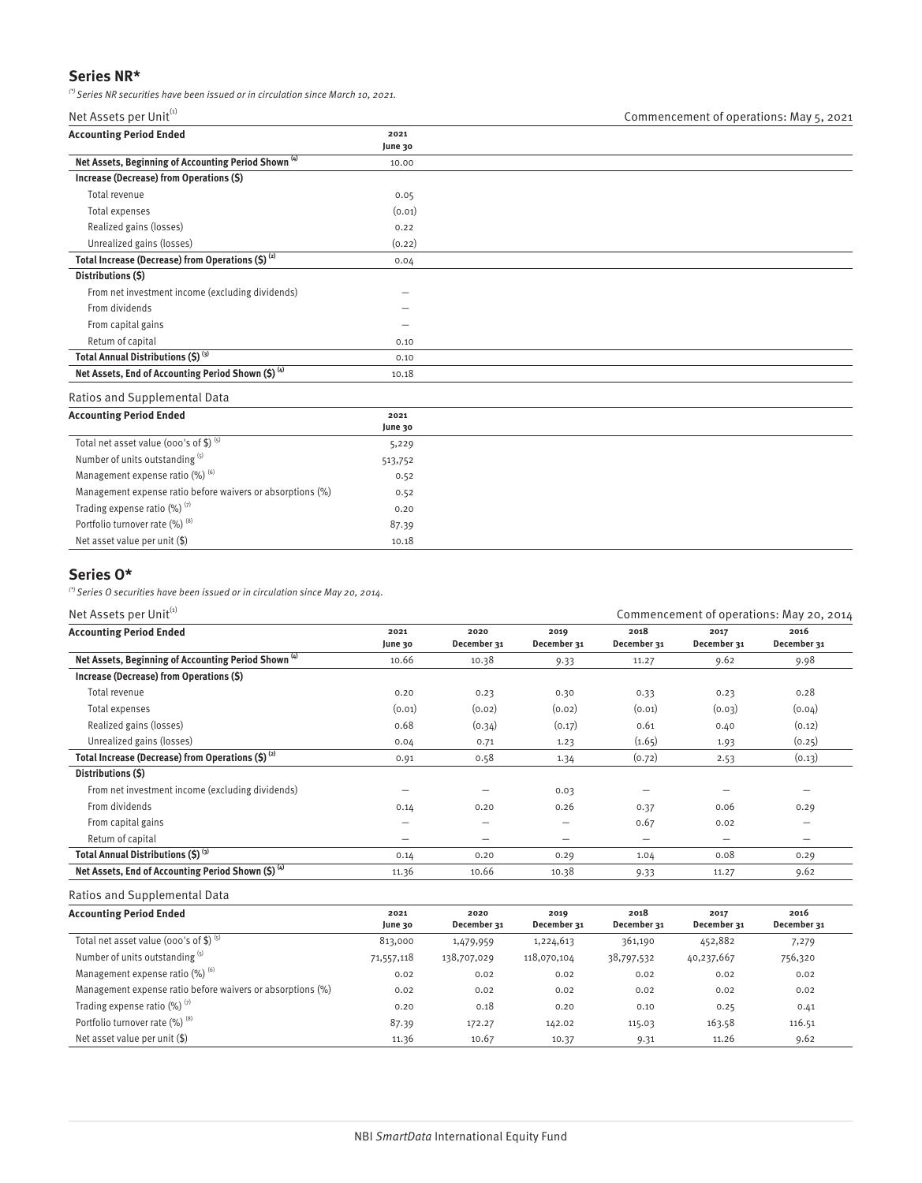# **Series NR\***

 $\binom{r}{r}$  Series NR securities have been issued or in circulation since March 10, 2021.

| <b>Accounting Period Ended</b>                                  | 2021    |  |
|-----------------------------------------------------------------|---------|--|
|                                                                 | June 30 |  |
| Net Assets, Beginning of Accounting Period Shown <sup>(4)</sup> | 10.00   |  |
| Increase (Decrease) from Operations (\$)                        |         |  |
| Total revenue                                                   | 0.05    |  |
| Total expenses                                                  | (0.01)  |  |
| Realized gains (losses)                                         | 0.22    |  |
| Unrealized gains (losses)                                       | (0.22)  |  |
| Total Increase (Decrease) from Operations $(5)^{(2)}$           | 0.04    |  |
| Distributions (\$)                                              |         |  |
| From net investment income (excluding dividends)                |         |  |
| From dividends                                                  | -       |  |
| From capital gains                                              |         |  |
| Return of capital                                               | 0.10    |  |
| Total Annual Distributions (\$) (3)                             | 0.10    |  |
| Net Assets, End of Accounting Period Shown (\$) (4)             | 10.18   |  |
|                                                                 |         |  |

#### Ratios and Supplemental Data

| <b>Accounting Period Ended</b>                             | 2021    |  |
|------------------------------------------------------------|---------|--|
|                                                            | June 30 |  |
| Total net asset value (000's of \$) $(5)$                  | 5,229   |  |
| Number of units outstanding (5)                            | 513,752 |  |
| Management expense ratio $(\%)$ <sup>(6)</sup>             | 0.52    |  |
| Management expense ratio before waivers or absorptions (%) | 0.52    |  |
| Trading expense ratio $(\%)$ <sup>(7)</sup>                | 0.20    |  |
| Portfolio turnover rate (%) (8)                            | 87.39   |  |
| Net asset value per unit (\$)                              | 10.18   |  |

# **Series O\***

 $(*)$  Series O securities have been issued or in circulation since May 20, 2014.

| Net Assets per Unit <sup>(1)</sup>                              |                 |                     |                     | Commencement of operations: May 20, 2014 |                     |                     |  |
|-----------------------------------------------------------------|-----------------|---------------------|---------------------|------------------------------------------|---------------------|---------------------|--|
| <b>Accounting Period Ended</b>                                  | 2021<br>June 30 | 2020<br>December 31 | 2019<br>December 31 | 2018<br>December 31                      | 2017<br>December 31 | 2016<br>December 31 |  |
| Net Assets, Beginning of Accounting Period Shown <sup>(4)</sup> | 10.66           | 10.38               | 9.33                | 11.27                                    | 9.62                | 9.98                |  |
| Increase (Decrease) from Operations (\$)                        |                 |                     |                     |                                          |                     |                     |  |
| Total revenue                                                   | 0.20            | 0.23                | 0.30                | 0.33                                     | 0.23                | 0.28                |  |
| Total expenses                                                  | (0.01)          | (0.02)              | (0.02)              | (0.01)                                   | (0.03)              | (0.04)              |  |
| Realized gains (losses)                                         | 0.68            | (0.34)              | (0.17)              | 0.61                                     | 0.40                | (0.12)              |  |
| Unrealized gains (losses)                                       | 0.04            | 0.71                | 1.23                | (1.65)                                   | 1.93                | (0.25)              |  |
| Total Increase (Decrease) from Operations (\$) <sup>(2)</sup>   | 0.91            | 0.58                | 1.34                | (0.72)                                   | 2.53                | (0.13)              |  |
| Distributions (\$)                                              |                 |                     |                     |                                          |                     |                     |  |
| From net investment income (excluding dividends)                |                 |                     | 0.03                |                                          |                     |                     |  |
| From dividends                                                  | 0.14            | 0.20                | 0.26                | 0.37                                     | 0.06                | 0.29                |  |
| From capital gains                                              |                 |                     | —                   | 0.67                                     | 0.02                |                     |  |
| Return of capital                                               | -               |                     | —                   | $\overline{\phantom{m}}$                 | -                   | -                   |  |
| Total Annual Distributions (\$) <sup>(3)</sup>                  | 0.14            | 0.20                | 0.29                | 1.04                                     | 0.08                | 0.29                |  |
| Net Assets, End of Accounting Period Shown (\$) (4)             | 11.36           | 10.66               | 10.38               | 9.33                                     | 11.27               | 9.62                |  |

| <b>Accounting Period Ended</b>                             | 2021<br>June 30 | 2020<br>December 31 | 2019<br>December 31 | 2018<br>December 31 | 2017<br>December 31 | 2016<br>December 31 |
|------------------------------------------------------------|-----------------|---------------------|---------------------|---------------------|---------------------|---------------------|
| Total net asset value (000's of \$) $(5)$                  | 813,000         | 1,479,959           | 1,224,613           | 361,190             | 452,882             | 7,279               |
| Number of units outstanding (5)                            | 71,557,118      | 138,707,029         | 118,070,104         | 38,797,532          | 40,237,667          | 756,320             |
| Management expense ratio (%) (6)                           | 0.02            | 0.02                | 0.02                | 0.02                | 0.02                | 0.02                |
| Management expense ratio before waivers or absorptions (%) | 0.02            | 0.02                | 0.02                | 0.02                | 0.02                | 0.02                |
| Trading expense ratio $(\%)$ <sup>(7)</sup>                | 0.20            | 0.18                | 0.20                | 0.10                | 0.25                | 0.41                |
| Portfolio turnover rate (%) (8)                            | 87.39           | 172.27              | 142.02              | 115.03              | 163.58              | 116.51              |
| Net asset value per unit $(\$)$                            | 11.36           | 10.67               | 10.37               | 9.31                | 11.26               | 9.62                |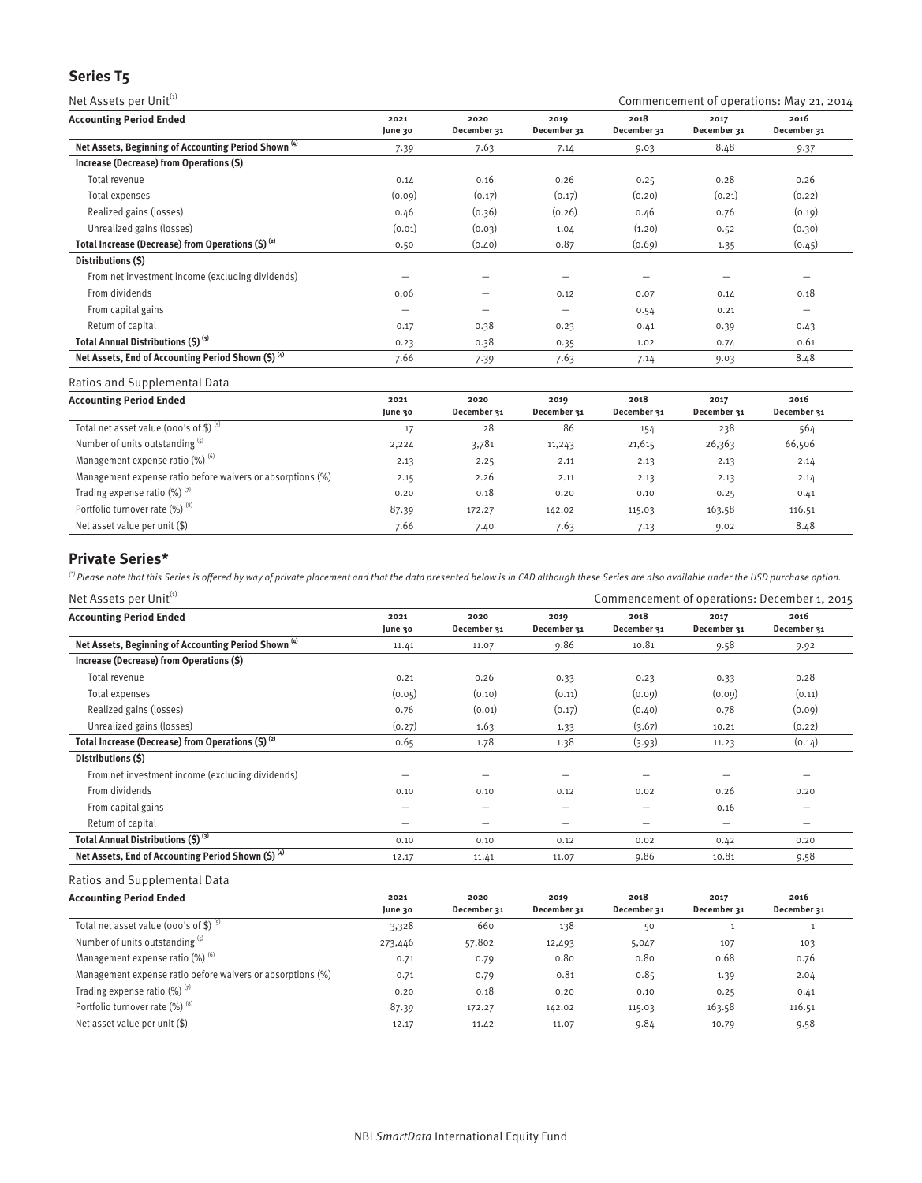# **Series T5**

Net Assets per Unit<sup>(1)</sup>  $\blacksquare$  Commencement of operations: May 21, 2014 **Accounting Period Ended 2021 June 30 2020 December 31 2019 December 31 2018 December 31 2017 December 31 2016 December 31 Net Assets, Beginning of Accounting Period Shown (4)** 7.39 7.63 7.14 9.03 8.48 9.37 **Increase (Decrease) from Operations (\$)** Total revenue 0.14 0.16 0.26 0.25 0.28 0.26 Total expenses (0.09) (0.17) (0.17) (0.20) (0.21) (0.22) Realized gains (losses) and the control of the control of the control of the control of the control of the control of the control of the control of the control of the control of the control of the control of the control of Unrealized gains (losses) (0.03) (0.03) (0.03) (0.03) (0.03) (1.20) 0.52 (0.30) **Total Increase (Decrease) from Operations (\$) <sup>(2)</sup> 0.50 (0.40) 0.87 (0.69) 1.35 (0.45) Distributions (\$)** From net investment income (excluding dividends) — — — — — — From dividends 0.06 — 0.12 0.07 0.14 0.18 From capital gains  $\qquad \qquad \qquad \qquad \qquad \qquad \qquad \qquad \qquad \qquad 0.54$  0.21 Return of capital 0.17 0.38 0.23 0.41 0.39 0.43 **Total Annual Distributions (\$) (3)** 0.23 0.38 0.35 1.02 0.74 0.61 **Net Assets, End of Accounting Period Shown (\$) (4)** 7.66 7.39 7.63 7.14 9.03 8.48

Ratios and Supplemental Data

| <b>Accounting Period Ended</b>                             | 2021<br>June 30 | 2020<br>December 31 | 2019<br>December 31 | 2018<br>December 31 | 2017<br>December 31 | 2016<br>December 31 |
|------------------------------------------------------------|-----------------|---------------------|---------------------|---------------------|---------------------|---------------------|
| Total net asset value (000's of \$) $(5)$                  | 17              | 28                  | 86                  | 154                 | 238                 | 564                 |
| Number of units outstanding (5)                            | 2,224           | 3,781               | 11,243              | 21,615              | 26,363              | 66,506              |
| Management expense ratio $(\%)$ <sup>(6)</sup>             | 2.13            | 2.25                | 2.11                | 2.13                | 2.13                | 2.14                |
| Management expense ratio before waivers or absorptions (%) | 2.15            | 2.26                | 2.11                | 2.13                | 2.13                | 2.14                |
| Trading expense ratio $(\%)$ <sup>(7)</sup>                | 0.20            | 0.18                | 0.20                | 0.10                | 0.25                | 0.41                |
| Portfolio turnover rate (%) (8)                            | 87.39           | 172.27              | 142.02              | 115.03              | 163.58              | 116.51              |
| Net asset value per unit (\$)                              | 7.66            | 7.40                | 7.63                | 7.13                | 9.02                | 8.48                |

# **Private Series\***

 ${}^{(2)}$  Please note that this Series is offered by way of private placement and that the data presented below is in CAD although these Series are also available under the USD purchase option.

| Net Assets per Unit <sup>(1)</sup>                              |                 |                     |                     | Commencement of operations: December 1, 2015 |                     |                     |  |
|-----------------------------------------------------------------|-----------------|---------------------|---------------------|----------------------------------------------|---------------------|---------------------|--|
| <b>Accounting Period Ended</b>                                  | 2021<br>June 30 | 2020<br>December 31 | 2019<br>December 31 | 2018<br>December 31                          | 2017<br>December 31 | 2016<br>December 31 |  |
| Net Assets, Beginning of Accounting Period Shown <sup>(4)</sup> | 11.41           | 11.07               | 9.86                | 10.81                                        | 9.58                | 9.92                |  |
| Increase (Decrease) from Operations (\$)                        |                 |                     |                     |                                              |                     |                     |  |
| Total revenue                                                   | 0.21            | 0.26                | 0.33                | 0.23                                         | 0.33                | 0.28                |  |
| Total expenses                                                  | (0.05)          | (0.10)              | (0.11)              | (0.09)                                       | (0.09)              | (0.11)              |  |
| Realized gains (losses)                                         | 0.76            | (0.01)              | (0.17)              | (0.40)                                       | 0.78                | (0.09)              |  |
| Unrealized gains (losses)                                       | (0.27)          | 1.63                | 1.33                | (3.67)                                       | 10.21               | (0.22)              |  |
| Total Increase (Decrease) from Operations (\$) <sup>(2)</sup>   | 0.65            | 1.78                | 1.38                | (3.93)                                       | 11.23               | (0.14)              |  |
| Distributions (S)                                               |                 |                     |                     |                                              |                     |                     |  |
| From net investment income (excluding dividends)                |                 |                     | -                   |                                              |                     |                     |  |
| From dividends                                                  | 0.10            | 0.10                | 0.12                | 0.02                                         | 0.26                | 0.20                |  |
| From capital gains                                              | -               |                     | -                   |                                              | 0.16                |                     |  |
| Return of capital                                               | -               |                     | -                   |                                              | –                   |                     |  |
| Total Annual Distributions (\$) (3)                             | 0.10            | 0.10                | 0.12                | 0.02                                         | 0.42                | 0.20                |  |
| Net Assets, End of Accounting Period Shown (\$) (4)             | 12.17           | 11.41               | 11.07               | 9.86                                         | 10.81               | 9.58                |  |

| <b>Accounting Period Ended</b>                             | 2021<br>June 30 | 2020<br>December 31 | 2019<br>December 31 | 2018<br>December 31 | 2017<br>December 31 | 2016<br>December 31 |
|------------------------------------------------------------|-----------------|---------------------|---------------------|---------------------|---------------------|---------------------|
| Total net asset value (000's of \$) $(5)$                  | 3,328           | 660                 | 138                 | 50                  |                     |                     |
| Number of units outstanding (5)                            | 273,446         | 57,802              | 12,493              | 5,047               | 107                 | 103                 |
| Management expense ratio $(\%)$ <sup>(6)</sup>             | 0.71            | 0.79                | 0.80                | 0.80                | 0.68                | 0.76                |
| Management expense ratio before waivers or absorptions (%) | 0.71            | 0.79                | 0.81                | 0.85                | 1.39                | 2.04                |
| Trading expense ratio $(\%)$ <sup>(7)</sup>                | 0.20            | 0.18                | 0.20                | 0.10                | 0.25                | 0.41                |
| Portfolio turnover rate (%) <sup>(8)</sup>                 | 87.39           | 172.27              | 142.02              | 115.03              | 163.58              | 116.51              |
| Net asset value per unit $(\$)$                            | 12.17           | 11.42               | 11.07               | 9.84                | 10.79               | 9.58                |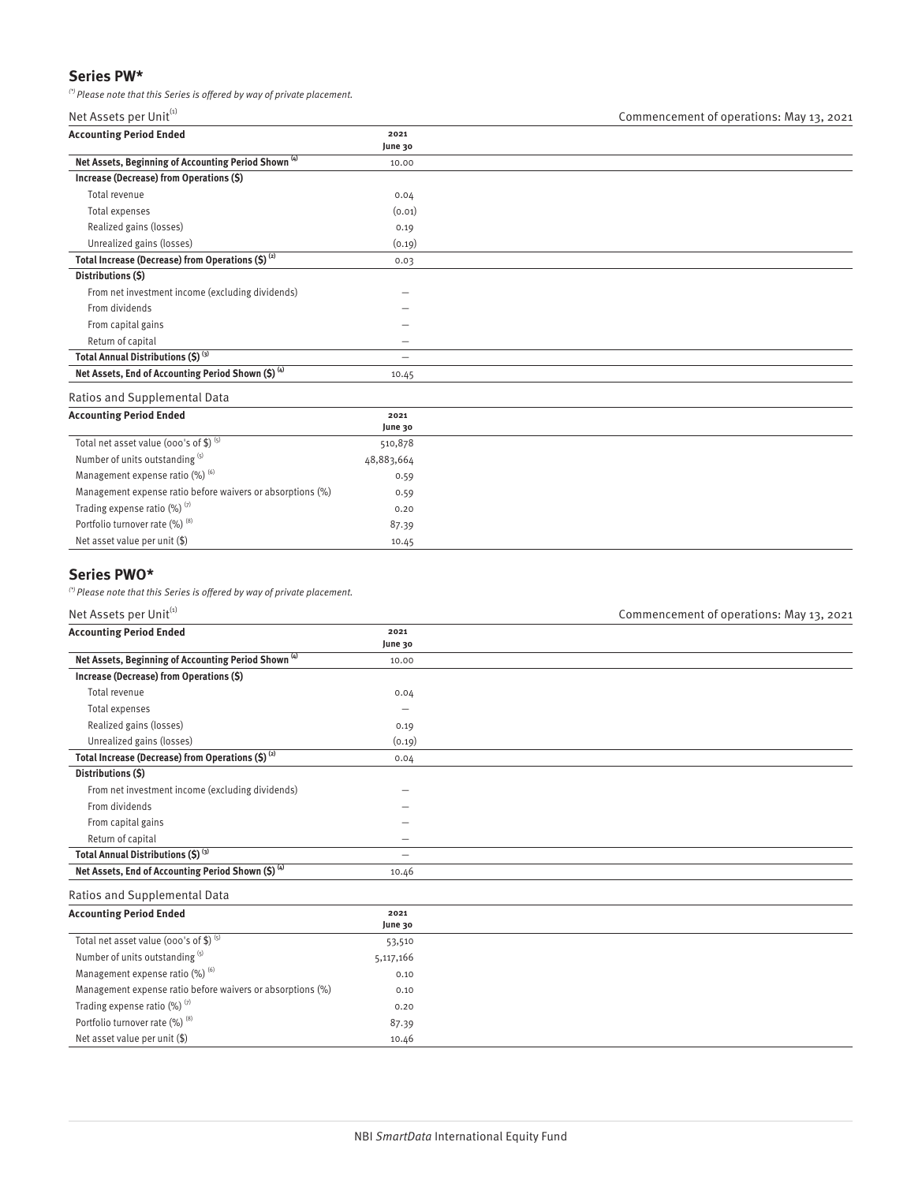# **Series PW\***

 $\binom{r}{r}$  Please note that this Series is offered by way of private placement.

| <b>Accounting Period Ended</b>                                  | 2021    |  |
|-----------------------------------------------------------------|---------|--|
|                                                                 | June 30 |  |
| Net Assets, Beginning of Accounting Period Shown <sup>(4)</sup> | 10.00   |  |
| Increase (Decrease) from Operations (\$)                        |         |  |
| Total revenue                                                   | 0.04    |  |
| Total expenses                                                  | (0.01)  |  |
| Realized gains (losses)                                         | 0.19    |  |
| Unrealized gains (losses)                                       | (0.19)  |  |
| Total Increase (Decrease) from Operations $(5)^{(2)}$           | 0.03    |  |
| Distributions (\$)                                              |         |  |
| From net investment income (excluding dividends)                |         |  |
| From dividends                                                  | -       |  |
| From capital gains                                              | -       |  |
| Return of capital                                               | -       |  |
| Total Annual Distributions (\$) (3)                             | -       |  |
| Net Assets, End of Accounting Period Shown (\$) (4)             | 10.45   |  |

#### Ratios and Supplemental Data

| <b>Accounting Period Ended</b>                             | 2021       |
|------------------------------------------------------------|------------|
|                                                            | June 30    |
| Total net asset value (000's of \$) $(5)$                  | 510,878    |
| Number of units outstanding (5)                            | 48,883,664 |
| Management expense ratio $(\%)$ <sup>(6)</sup>             | 0.59       |
| Management expense ratio before waivers or absorptions (%) | 0.59       |
| Trading expense ratio $(\%)$ <sup>(7)</sup>                | 0.20       |
| Portfolio turnover rate (%) (8)                            | 87.39      |
| Net asset value per unit (\$)                              | 10.45      |

# **Series PWO\***

 $\binom{r}{r}$  Please note that this Series is offered by way of private placement.

## Net Assets per Unit<sup>(1)</sup> Net Assets per Unit<sup>(1)</sup> Commencement of operations: May 13, 2021

| <b>Accounting Period Ended</b>                                  | 2021      |  |  |
|-----------------------------------------------------------------|-----------|--|--|
|                                                                 | June 30   |  |  |
| Net Assets, Beginning of Accounting Period Shown <sup>(4)</sup> | 10.00     |  |  |
| Increase (Decrease) from Operations (\$)                        |           |  |  |
| Total revenue                                                   | 0.04      |  |  |
| Total expenses                                                  |           |  |  |
| Realized gains (losses)                                         | 0.19      |  |  |
| Unrealized gains (losses)                                       | (0.19)    |  |  |
| Total Increase (Decrease) from Operations (\$) <sup>(2)</sup>   | 0.04      |  |  |
| Distributions (\$)                                              |           |  |  |
| From net investment income (excluding dividends)                |           |  |  |
| From dividends                                                  |           |  |  |
| From capital gains                                              |           |  |  |
| Return of capital                                               | -         |  |  |
| Total Annual Distributions (\$) (3)                             |           |  |  |
| Net Assets, End of Accounting Period Shown (\$) (4)             | 10.46     |  |  |
| Ratios and Supplemental Data                                    |           |  |  |
| <b>Accounting Period Ended</b>                                  | 2021      |  |  |
|                                                                 | June 30   |  |  |
| Total net asset value (ooo's of \$) $(5)$                       | 53,510    |  |  |
| Number of units outstanding (5)                                 | 5,117,166 |  |  |
| Management expense ratio (%) (6)                                | 0.10      |  |  |
| Management expense ratio before waivers or absorptions (%)      | 0.10      |  |  |
| Trading expense ratio (%) (7)                                   | 0.20      |  |  |
| Portfolio turnover rate (%) (8)                                 | 87.39     |  |  |
| Net asset value per unit (\$)                                   | 10.46     |  |  |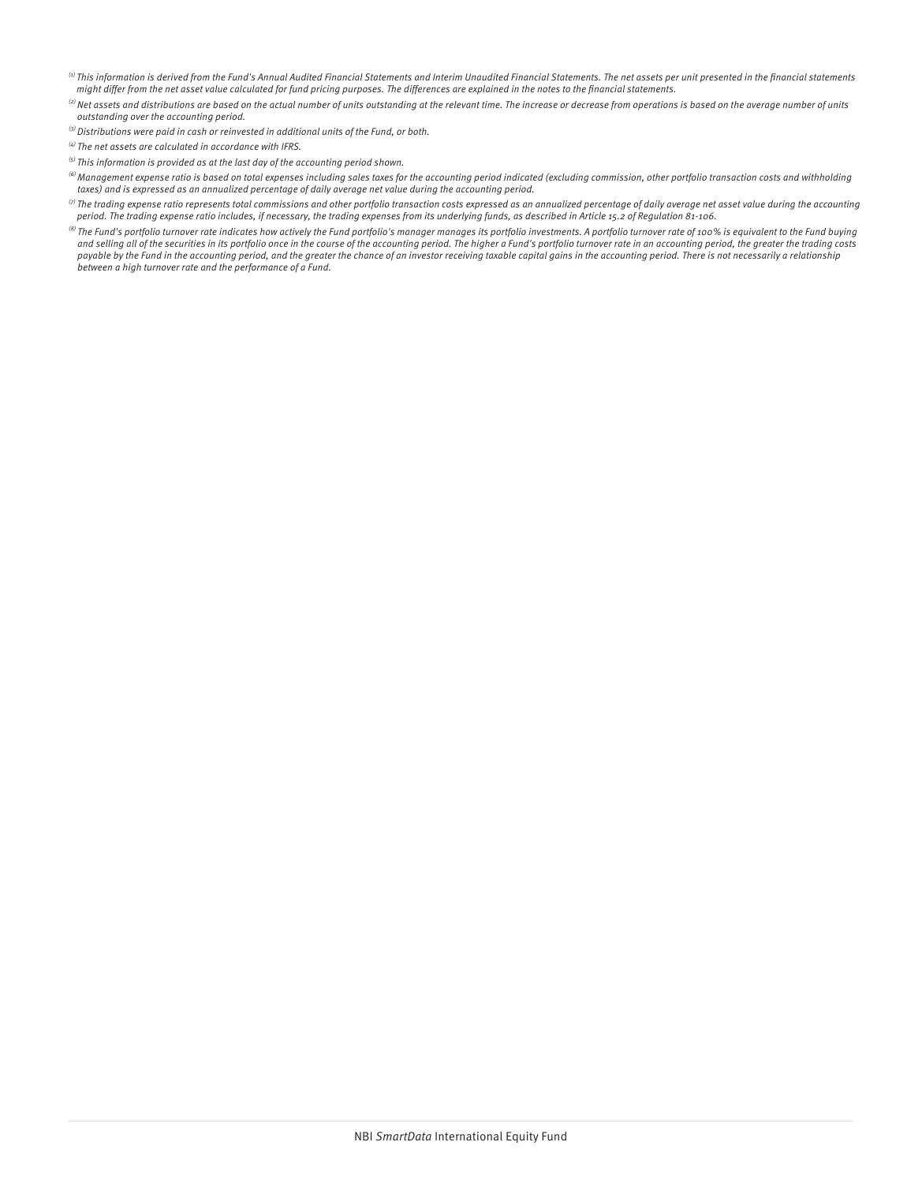- $^{(i)}$  This information is derived from the Fund's Annual Audited Financial Statements and Interim Unaudited Financial Statements. The net assets per unit presented in the financial statements might differ from the net asset value calculated for fund pricing purposes. The differences are explained in the notes to the financial statements.
- $^{(2)}$  Net assets and distributions are based on the actual number of units outstanding at the relevant time. The increase or decrease from operations is based on the average number of units outstanding over the accounting period.
- $^{(3)}$  Distributions were paid in cash or reinvested in additional units of the Fund, or both.
- $^{(4)}$  The net assets are calculated in accordance with IFRS.
- $^{(5)}$  This information is provided as at the last day of the accounting period shown.
- $^{(6)}$ Management expense ratio is based on total expenses including sales taxes for the accounting period indicated (excluding commission, other portfolio transaction costs and withholding taxes) and is expressed as an annualized percentage of daily average net value during the accounting period.
- $\,^{\circ}$  The trading expense ratio represents total commissions and other portfolio transaction costs expressed as an annualized percentage of daily average net asset value during the accounting period. The trading expense ratio includes, if necessary, the trading expenses from its underlying funds, as described in Article 15.2 of Regulation 81-106.
- <sup>(8)</sup> The Fund's portfolio turnover rate indicates how actively the Fund portfolio's manager manages its portfolio investments. A portfolio turnover rate of 100% is equivalent to the Fund buying and selling all of the securities in its portfolio once in the course of the accounting period. The higher a Fund's portfolio turnover rate in an accounting period, the greater the trading costs payable by the Fund in the accounting period, and the greater the chance of an investor receiving taxable capital gains in the accounting period. There is not necessarily a relationship between a high turnover rate and the performance of a Fund.